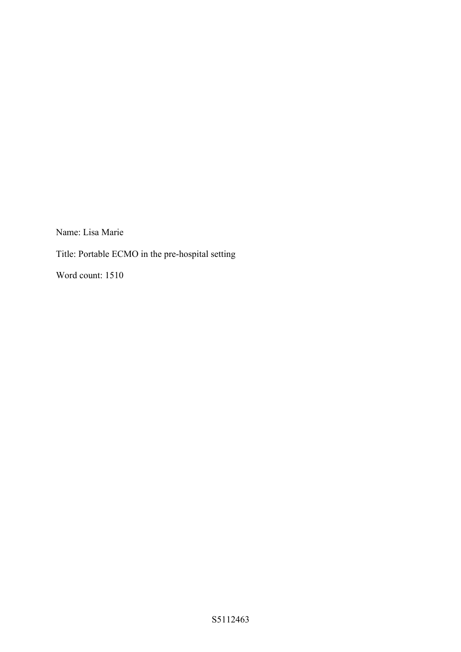Name: Lisa Marie

Title: Portable ECMO in the pre-hospital setting

Word count: 1510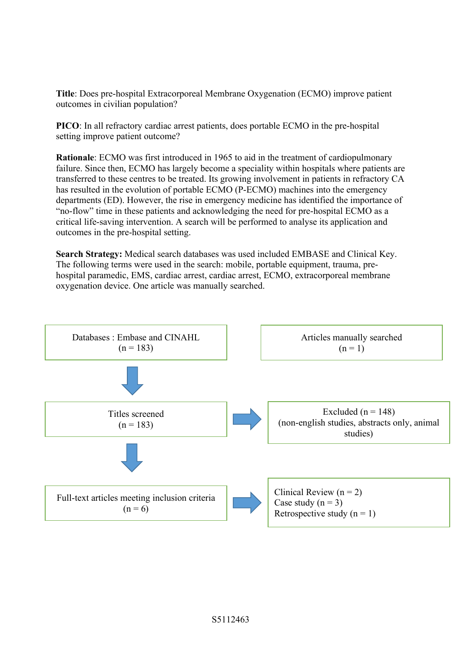**Title**: Does pre-hospital Extracorporeal Membrane Oxygenation (ECMO) improve patient outcomes in civilian population?

**PICO**: In all refractory cardiac arrest patients, does portable ECMO in the pre-hospital setting improve patient outcome?

**Rationale**: ECMO was first introduced in 1965 to aid in the treatment of cardiopulmonary failure. Since then, ECMO has largely become a speciality within hospitals where patients are transferred to these centres to be treated. Its growing involvement in patients in refractory CA has resulted in the evolution of portable ECMO (P-ECMO) machines into the emergency departments (ED). However, the rise in emergency medicine has identified the importance of "no-flow" time in these patients and acknowledging the need for pre-hospital ECMO as a critical life-saving intervention. A search will be performed to analyse its application and outcomes in the pre-hospital setting.

**Search Strategy:** Medical search databases was used included EMBASE and Clinical Key. The following terms were used in the search: mobile, portable equipment, trauma, prehospital paramedic, EMS, cardiac arrest, cardiac arrest, ECMO, extracorporeal membrane oxygenation device. One article was manually searched.

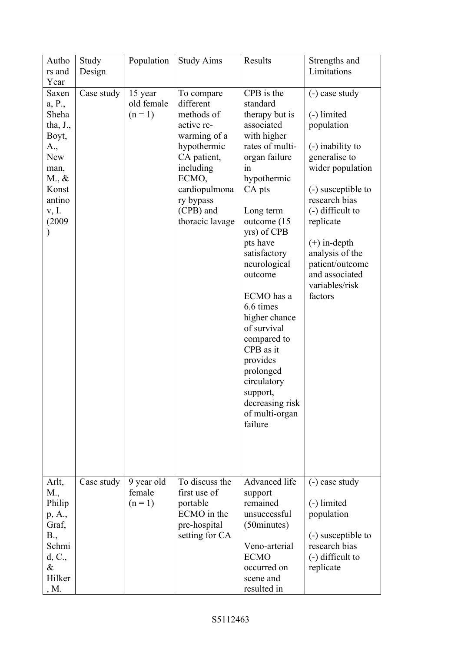| Autho              | Study      | Population | <b>Study Aims</b> | Results                      | Strengths and                      |
|--------------------|------------|------------|-------------------|------------------------------|------------------------------------|
| rs and             | Design     |            |                   |                              | Limitations                        |
| Year               |            |            |                   |                              |                                    |
| Saxen              | Case study | 15 year    | To compare        | CPB is the                   | (-) case study                     |
| a, P.,             |            | old female | different         | standard                     |                                    |
| Sheha              |            | $(n=1)$    | methods of        | therapy but is               | (-) limited                        |
| tha, $J_{\cdot}$ , |            |            | active re-        | associated                   | population                         |
| Boyt,              |            |            | warming of a      | with higher                  |                                    |
| A.,                |            |            | hypothermic       | rates of multi-              | (-) inability to                   |
| New                |            |            | CA patient,       | organ failure                | generalise to                      |
| man,               |            |            | including         | in                           | wider population                   |
| $M_{\cdot}, \&$    |            |            | ECMO,             | hypothermic                  |                                    |
| Konst              |            |            | cardiopulmona     | CA pts                       | (-) susceptible to                 |
| antino             |            |            | ry bypass         |                              | research bias                      |
| v, I.              |            |            | (CPB) and         | Long term                    | $(-)$ difficult to                 |
| (2009)             |            |            | thoracic lavage   | outcome (15)                 | replicate                          |
|                    |            |            |                   | yrs) of CPB                  |                                    |
|                    |            |            |                   | pts have                     | $(+)$ in-depth                     |
|                    |            |            |                   | satisfactory<br>neurological | analysis of the<br>patient/outcome |
|                    |            |            |                   | outcome                      | and associated                     |
|                    |            |            |                   |                              | variables/risk                     |
|                    |            |            |                   | ECMO has a                   | factors                            |
|                    |            |            |                   | 6.6 times                    |                                    |
|                    |            |            |                   | higher chance                |                                    |
|                    |            |            |                   | of survival                  |                                    |
|                    |            |            |                   | compared to                  |                                    |
|                    |            |            |                   | CPB as it                    |                                    |
|                    |            |            |                   | provides                     |                                    |
|                    |            |            |                   | prolonged                    |                                    |
|                    |            |            |                   | circulatory                  |                                    |
|                    |            |            |                   | support,                     |                                    |
|                    |            |            |                   | decreasing risk              |                                    |
|                    |            |            |                   | of multi-organ               |                                    |
|                    |            |            |                   | failure                      |                                    |
|                    |            |            |                   |                              |                                    |
|                    |            |            |                   |                              |                                    |
|                    |            |            |                   |                              |                                    |
|                    |            |            |                   |                              |                                    |
| Arlt,              | Case study | 9 year old | To discuss the    | Advanced life                | (-) case study                     |
| M.,                |            | female     | first use of      | support                      |                                    |
| Philip             |            | $(n=1)$    | portable          | remained                     | (-) limited                        |
| p, A.,             |            |            | ECMO in the       | unsuccessful                 | population                         |
| Graf,              |            |            | pre-hospital      | (50minutes)                  |                                    |
| B.,                |            |            | setting for CA    |                              | (-) susceptible to                 |
| Schmi              |            |            |                   | Veno-arterial                | research bias                      |
| d, C.,             |            |            |                   | <b>ECMO</b>                  | (-) difficult to                   |
| &                  |            |            |                   | occurred on                  | replicate                          |
| Hilker             |            |            |                   | scene and                    |                                    |
| , M.               |            |            |                   | resulted in                  |                                    |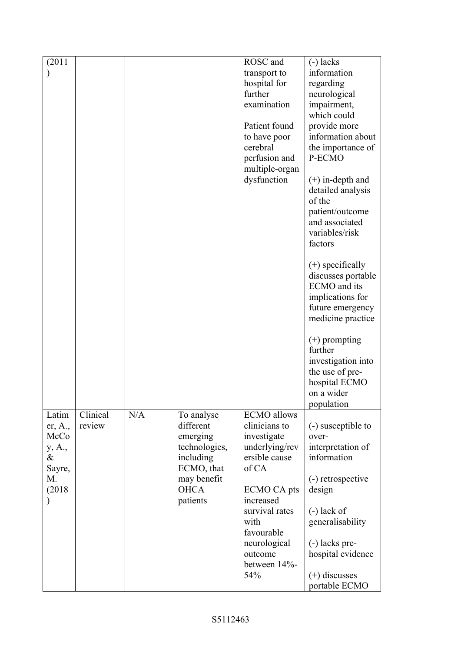| (2011)  |          |     |               | ROSC and           | $(-)$ lacks                              |
|---------|----------|-----|---------------|--------------------|------------------------------------------|
|         |          |     |               | transport to       | information                              |
|         |          |     |               | hospital for       | regarding                                |
|         |          |     |               | further            | neurological                             |
|         |          |     |               | examination        | impairment,                              |
|         |          |     |               |                    | which could                              |
|         |          |     |               | Patient found      | provide more                             |
|         |          |     |               | to have poor       | information about                        |
|         |          |     |               | cerebral           | the importance of                        |
|         |          |     |               | perfusion and      | P-ECMO                                   |
|         |          |     |               | multiple-organ     |                                          |
|         |          |     |               | dysfunction        | $(+)$ in-depth and                       |
|         |          |     |               |                    | detailed analysis                        |
|         |          |     |               |                    | of the                                   |
|         |          |     |               |                    |                                          |
|         |          |     |               |                    | patient/outcome<br>and associated        |
|         |          |     |               |                    |                                          |
|         |          |     |               |                    | variables/risk                           |
|         |          |     |               |                    | factors                                  |
|         |          |     |               |                    | $(+)$ specifically<br>discusses portable |
|         |          |     |               |                    | ECMO and its                             |
|         |          |     |               |                    | implications for                         |
|         |          |     |               |                    | future emergency                         |
|         |          |     |               |                    | medicine practice                        |
|         |          |     |               |                    |                                          |
|         |          |     |               |                    | $(+)$ prompting                          |
|         |          |     |               |                    | further                                  |
|         |          |     |               |                    | investigation into                       |
|         |          |     |               |                    | the use of pre-                          |
|         |          |     |               |                    | hospital ECMO                            |
|         |          |     |               |                    | on a wider                               |
|         |          |     |               |                    | population                               |
| Latim   | Clinical | N/A | To analyse    | <b>ECMO</b> allows |                                          |
| er, A., | review   |     | different     | clinicians to      | (-) susceptible to                       |
| McCo    |          |     | emerging      | investigate        | over-                                    |
| y, A.,  |          |     | technologies, | underlying/rev     | interpretation of                        |
| &       |          |     | including     | ersible cause      | information                              |
| Sayre,  |          |     | ECMO, that    | of CA              |                                          |
| M.      |          |     | may benefit   |                    | (-) retrospective                        |
| (2018)  |          |     | <b>OHCA</b>   | ECMO CA pts        | design                                   |
|         |          |     | patients      | increased          |                                          |
|         |          |     |               | survival rates     | $(-)$ lack of                            |
|         |          |     |               | with               | generalisability                         |
|         |          |     |               | favourable         |                                          |
|         |          |     |               | neurological       | (-) lacks pre-                           |
|         |          |     |               | outcome            | hospital evidence                        |
|         |          |     |               | between 14%-       |                                          |
|         |          |     |               | 54%                | $(+)$ discusses                          |
|         |          |     |               |                    | portable ECMO                            |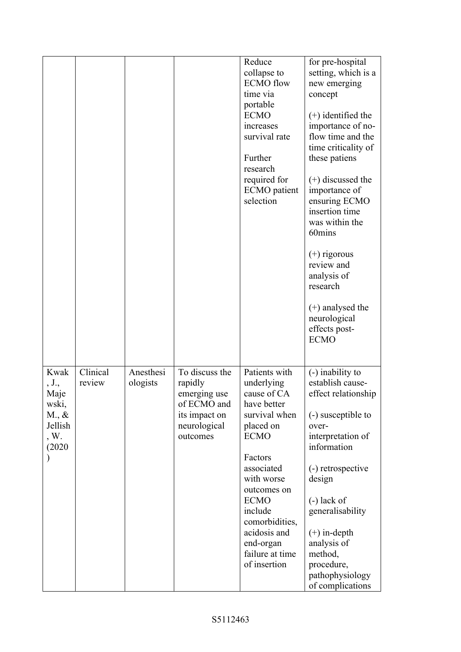|                                                                                |                    |                       |                                                                                                       | Reduce<br>collapse to<br><b>ECMO</b> flow<br>time via<br>portable<br><b>ECMO</b><br>increases<br>survival rate<br>Further<br>research<br>required for<br><b>ECMO</b> patient<br>selection                                                                                | for pre-hospital<br>setting, which is a<br>new emerging<br>concept<br>$(+)$ identified the<br>importance of no-<br>flow time and the<br>time criticality of<br>these patiens<br>$(+)$ discussed the<br>importance of<br>ensuring ECMO<br>insertion time<br>was within the<br>60mins<br>$(+)$ rigorous<br>review and<br>analysis of<br>research<br>$(+)$ analysed the<br>neurological<br>effects post-<br><b>ECMO</b> |
|--------------------------------------------------------------------------------|--------------------|-----------------------|-------------------------------------------------------------------------------------------------------|--------------------------------------------------------------------------------------------------------------------------------------------------------------------------------------------------------------------------------------------------------------------------|----------------------------------------------------------------------------------------------------------------------------------------------------------------------------------------------------------------------------------------------------------------------------------------------------------------------------------------------------------------------------------------------------------------------|
| Kwak<br>, J.,<br>Maje<br>wski,<br>$M_{\cdot}$ , &<br>Jellish<br>, W.<br>(2020) | Clinical<br>review | Anesthesi<br>ologists | To discuss the<br>rapidly<br>emerging use<br>of ECMO and<br>its impact on<br>neurological<br>outcomes | Patients with<br>underlying<br>cause of CA<br>have better<br>survival when<br>placed on<br><b>ECMO</b><br>Factors<br>associated<br>with worse<br>outcomes on<br><b>ECMO</b><br>include<br>comorbidities,<br>acidosis and<br>end-organ<br>failure at time<br>of insertion | (-) inability to<br>establish cause-<br>effect relationship<br>(-) susceptible to<br>over-<br>interpretation of<br>information<br>(-) retrospective<br>design<br>$(-)$ lack of<br>generalisability<br>$(+)$ in-depth<br>analysis of<br>method,<br>procedure,<br>pathophysiology<br>of complications                                                                                                                  |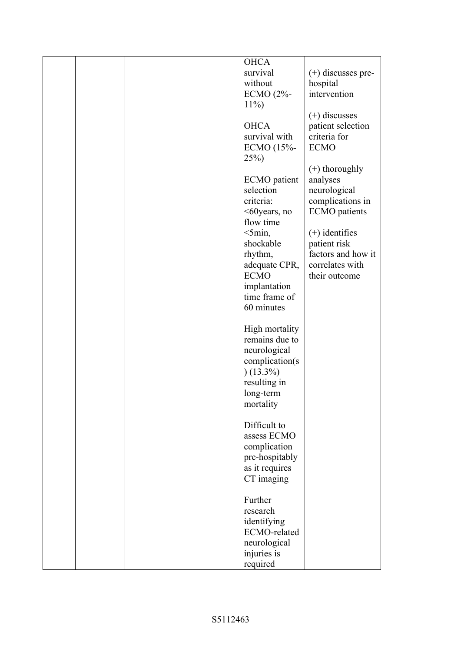|  |  | <b>OHCA</b>         |                      |
|--|--|---------------------|----------------------|
|  |  | survival            | $(+)$ discusses pre- |
|  |  | without             | hospital             |
|  |  | ECMO (2%-           | intervention         |
|  |  | $11\%$              |                      |
|  |  |                     |                      |
|  |  |                     | $(+)$ discusses      |
|  |  | <b>OHCA</b>         | patient selection    |
|  |  | survival with       | criteria for         |
|  |  | ECMO (15%-          | <b>ECMO</b>          |
|  |  | $25\%)$             |                      |
|  |  |                     | $(+)$ thoroughly     |
|  |  | <b>ECMO</b> patient | analyses             |
|  |  |                     |                      |
|  |  | selection           | neurological         |
|  |  | criteria:           | complications in     |
|  |  | <60years, no        | <b>ECMO</b> patients |
|  |  | flow time           |                      |
|  |  | $<$ 5min,           | $(+)$ identifies     |
|  |  | shockable           | patient risk         |
|  |  | rhythm,             | factors and how it   |
|  |  | adequate CPR,       | correlates with      |
|  |  | <b>ECMO</b>         | their outcome        |
|  |  |                     |                      |
|  |  | implantation        |                      |
|  |  | time frame of       |                      |
|  |  | 60 minutes          |                      |
|  |  |                     |                      |
|  |  | High mortality      |                      |
|  |  | remains due to      |                      |
|  |  | neurological        |                      |
|  |  | complication(s      |                      |
|  |  | $(13.3\%)$          |                      |
|  |  |                     |                      |
|  |  | resulting in        |                      |
|  |  | long-term           |                      |
|  |  | mortality           |                      |
|  |  |                     |                      |
|  |  | Difficult to        |                      |
|  |  | assess ECMO         |                      |
|  |  | complication        |                      |
|  |  | pre-hospitably      |                      |
|  |  | as it requires      |                      |
|  |  |                     |                      |
|  |  | CT imaging          |                      |
|  |  |                     |                      |
|  |  | Further             |                      |
|  |  | research            |                      |
|  |  | identifying         |                      |
|  |  | ECMO-related        |                      |
|  |  | neurological        |                      |
|  |  | injuries is         |                      |
|  |  | required            |                      |
|  |  |                     |                      |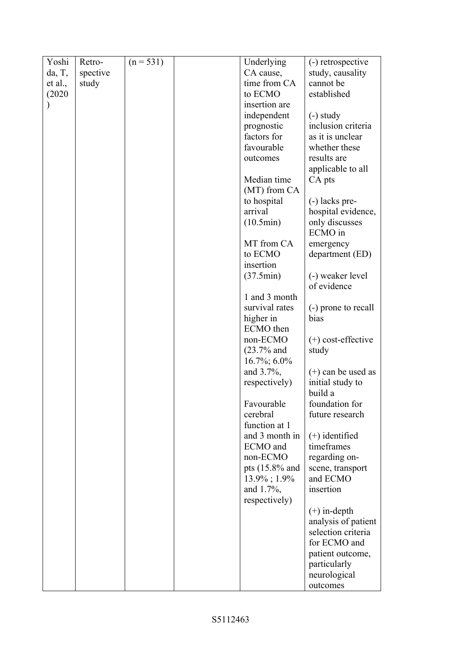| Yoshi   | Retro-   | $(n = 531)$ | Underlying      | (-) retrospective    |
|---------|----------|-------------|-----------------|----------------------|
| da, T,  | spective |             | CA cause,       | study, causality     |
| et al., | study    |             | time from CA    | cannot be            |
| (2020)  |          |             | to ECMO         | established          |
|         |          |             | insertion are   |                      |
|         |          |             |                 |                      |
|         |          |             | independent     | $(-)$ study          |
|         |          |             | prognostic      | inclusion criteria   |
|         |          |             | factors for     | as it is unclear     |
|         |          |             | favourable      | whether these        |
|         |          |             | outcomes        | results are          |
|         |          |             |                 | applicable to all    |
|         |          |             | Median time     | CA pts               |
|         |          |             | (MT) from CA    |                      |
|         |          |             | to hospital     | (-) lacks pre-       |
|         |          |             | arrival         | hospital evidence,   |
|         |          |             | (10.5min)       | only discusses       |
|         |          |             |                 | ECMO in              |
|         |          |             | MT from CA      | emergency            |
|         |          |             | to ECMO         | department (ED)      |
|         |          |             | insertion       |                      |
|         |          |             | (37.5min)       | (-) weaker level     |
|         |          |             |                 | of evidence          |
|         |          |             | 1 and 3 month   |                      |
|         |          |             | survival rates  | (-) prone to recall  |
|         |          |             | higher in       | bias                 |
|         |          |             | ECMO then       |                      |
|         |          |             | non-ECMO        | $(+)$ cost-effective |
|         |          |             | $(23.7%$ and    |                      |
|         |          |             |                 | study                |
|         |          |             | $16.7\%$ ; 6.0% |                      |
|         |          |             | and 3.7%,       | $(+)$ can be used as |
|         |          |             | respectively)   | initial study to     |
|         |          |             |                 | build a              |
|         |          |             | Favourable      | foundation for       |
|         |          |             | cerebral        | future research      |
|         |          |             | function at 1   |                      |
|         |          |             | and 3 month in  | $(+)$ identified     |
|         |          |             | ECMO and        | timeframes           |
|         |          |             | non-ECMO        | regarding on-        |
|         |          |             | pts (15.8% and  | scene, transport     |
|         |          |             | 13.9%; 1.9%     | and ECMO             |
|         |          |             | and 1.7%,       | insertion            |
|         |          |             | respectively)   |                      |
|         |          |             |                 | $(+)$ in-depth       |
|         |          |             |                 | analysis of patient  |
|         |          |             |                 | selection criteria   |
|         |          |             |                 | for ECMO and         |
|         |          |             |                 | patient outcome,     |
|         |          |             |                 | particularly         |
|         |          |             |                 | neurological         |
|         |          |             |                 | outcomes             |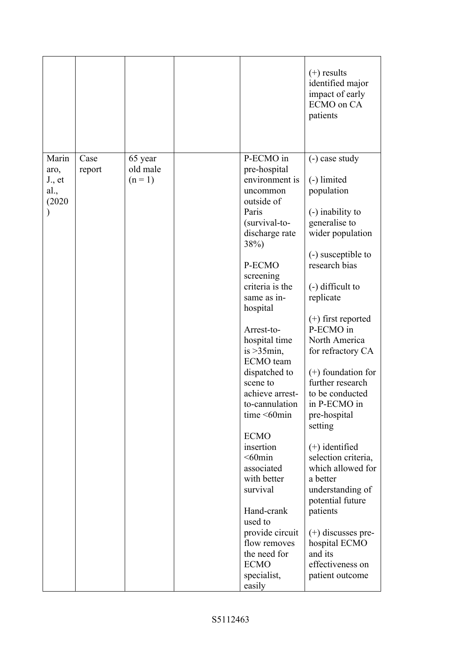|                                                                                                                                                                                                                                                                                                                                                                                                                                                                                                                                                                                                                                                                                                                                                                                                                                                                     |       |      |         |           | $(+)$ results<br>identified major<br>impact of early<br>ECMO on CA<br>patients                                                                                                                                                                                                                                                                            |
|---------------------------------------------------------------------------------------------------------------------------------------------------------------------------------------------------------------------------------------------------------------------------------------------------------------------------------------------------------------------------------------------------------------------------------------------------------------------------------------------------------------------------------------------------------------------------------------------------------------------------------------------------------------------------------------------------------------------------------------------------------------------------------------------------------------------------------------------------------------------|-------|------|---------|-----------|-----------------------------------------------------------------------------------------------------------------------------------------------------------------------------------------------------------------------------------------------------------------------------------------------------------------------------------------------------------|
| old male<br>pre-hospital<br>aro,<br>report<br>$(n=1)$<br>environment is<br>(-) limited<br>$J_{\cdot}$ , et<br>population<br>al.,<br>uncommon<br>(2020)<br>outside of<br>Paris<br>(-) inability to<br>generalise to<br>(survival-to-<br>discharge rate<br>38%)<br>P-ECMO<br>research bias<br>screening<br>criteria is the<br>$(-)$ difficult to<br>replicate<br>same as in-<br>hospital<br>P-ECMO in<br>Arrest-to-<br>hospital time<br>is $>35$ min,<br>ECMO team<br>dispatched to<br>scene to<br>achieve arrest-<br>in P-ECMO in<br>to-cannulation<br>time $\leq 60$ min<br>pre-hospital<br>setting<br><b>ECMO</b><br>insertion<br>$(+)$ identified<br>$<$ 60 $min$<br>associated<br>with better<br>a better<br>survival<br>Hand-crank<br>patients<br>used to<br>provide circuit<br>flow removes<br>the need for<br>and its<br><b>ECMO</b><br>specialist,<br>easily | Marin | Case | 65 year | P-ECMO in | (-) case study<br>wider population<br>(-) susceptible to<br>$(+)$ first reported<br>North America<br>for refractory CA<br>$(+)$ foundation for<br>further research<br>to be conducted<br>selection criteria,<br>which allowed for<br>understanding of<br>potential future<br>$(+)$ discusses pre-<br>hospital ECMO<br>effectiveness on<br>patient outcome |